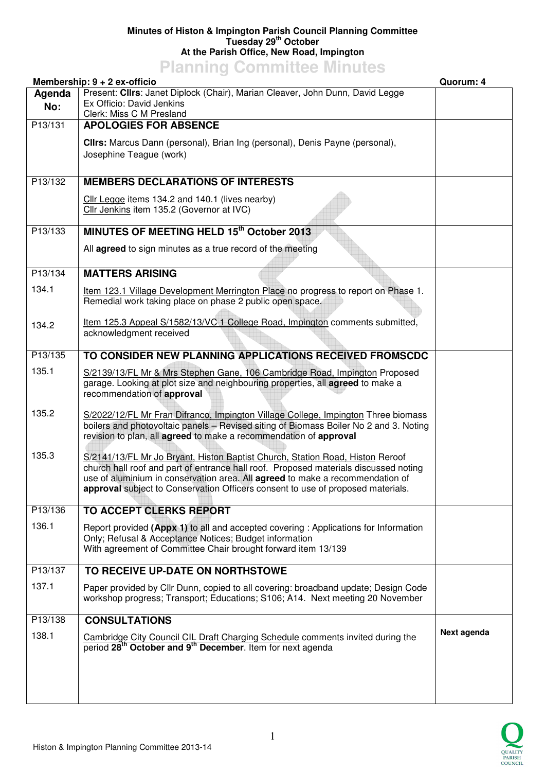## **Minutes of Histon & Impington Parish Council Planning Committee Tuesday 29th October At the Parish Office, New Road, Impington**

## **Planning Committee Minutes**

|               | Membership: 9 + 2 ex-officio                                                                                                                                                                                                                                                                                                                     | Quorum: 4   |
|---------------|--------------------------------------------------------------------------------------------------------------------------------------------------------------------------------------------------------------------------------------------------------------------------------------------------------------------------------------------------|-------------|
| Agenda<br>No: | Present: Clirs: Janet Diplock (Chair), Marian Cleaver, John Dunn, David Legge<br>Ex Officio: David Jenkins<br>Clerk: Miss C M Presland                                                                                                                                                                                                           |             |
| P13/131       | <b>APOLOGIES FOR ABSENCE</b>                                                                                                                                                                                                                                                                                                                     |             |
|               | Clirs: Marcus Dann (personal), Brian Ing (personal), Denis Payne (personal),<br>Josephine Teague (work)                                                                                                                                                                                                                                          |             |
| P13/132       | <b>MEMBERS DECLARATIONS OF INTERESTS</b>                                                                                                                                                                                                                                                                                                         |             |
|               | Cllr Legge items 134.2 and 140.1 (lives nearby)<br>Cllr Jenkins item 135.2 (Governor at IVC)                                                                                                                                                                                                                                                     |             |
| P13/133       | MINUTES OF MEETING HELD 15th October 2013                                                                                                                                                                                                                                                                                                        |             |
|               | All <b>agreed</b> to sign minutes as a true record of the meeting                                                                                                                                                                                                                                                                                |             |
| P13/134       | <b>MATTERS ARISING</b>                                                                                                                                                                                                                                                                                                                           |             |
| 134.1         | Item 123.1 Village Development Merrington Place no progress to report on Phase 1.<br>Remedial work taking place on phase 2 public open space.                                                                                                                                                                                                    |             |
| 134.2         | Item 125.3 Appeal S/1582/13/VC 1 College Road, Impington comments submitted,<br>acknowledgment received                                                                                                                                                                                                                                          |             |
| P13/135       | TO CONSIDER NEW PLANNING APPLICATIONS RECEIVED FROMSCDC                                                                                                                                                                                                                                                                                          |             |
| 135.1         | S/2139/13/FL Mr & Mrs Stephen Gane, 106 Cambridge Road, Impington Proposed<br>garage. Looking at plot size and neighbouring properties, all agreed to make a<br>recommendation of approval                                                                                                                                                       |             |
| 135.2         | S/2022/12/FL Mr Fran Difranco, Impington Village College, Impington Three biomass<br>boilers and photovoltaic panels - Revised siting of Biomass Boiler No 2 and 3. Noting<br>revision to plan, all agreed to make a recommendation of approval                                                                                                  |             |
| 135.3         | S/2141/13/FL Mr Jo Bryant, Histon Baptist Church, Station Road, Histon Reroof<br>church hall roof and part of entrance hall roof. Proposed materials discussed noting<br>use of aluminium in conservation area. All <b>agreed</b> to make a recommendation of<br>approval subject to Conservation Officers consent to use of proposed materials. |             |
| P13/136       | <b>TO ACCEPT CLERKS REPORT</b>                                                                                                                                                                                                                                                                                                                   |             |
| 136.1         | Report provided (Appx 1) to all and accepted covering : Applications for Information<br>Only; Refusal & Acceptance Notices; Budget information<br>With agreement of Committee Chair brought forward item 13/139                                                                                                                                  |             |
| P13/137       | TO RECEIVE UP-DATE ON NORTHSTOWE                                                                                                                                                                                                                                                                                                                 |             |
| 137.1         | Paper provided by Cllr Dunn, copied to all covering: broadband update; Design Code<br>workshop progress; Transport; Educations; S106; A14. Next meeting 20 November                                                                                                                                                                              |             |
| P13/138       | <b>CONSULTATIONS</b>                                                                                                                                                                                                                                                                                                                             |             |
| 138.1         | Cambridge City Council CIL Draft Charging Schedule comments invited during the period 28 <sup>th</sup> October and 9 <sup>th</sup> December. Item for next agenda                                                                                                                                                                                | Next agenda |
|               |                                                                                                                                                                                                                                                                                                                                                  |             |